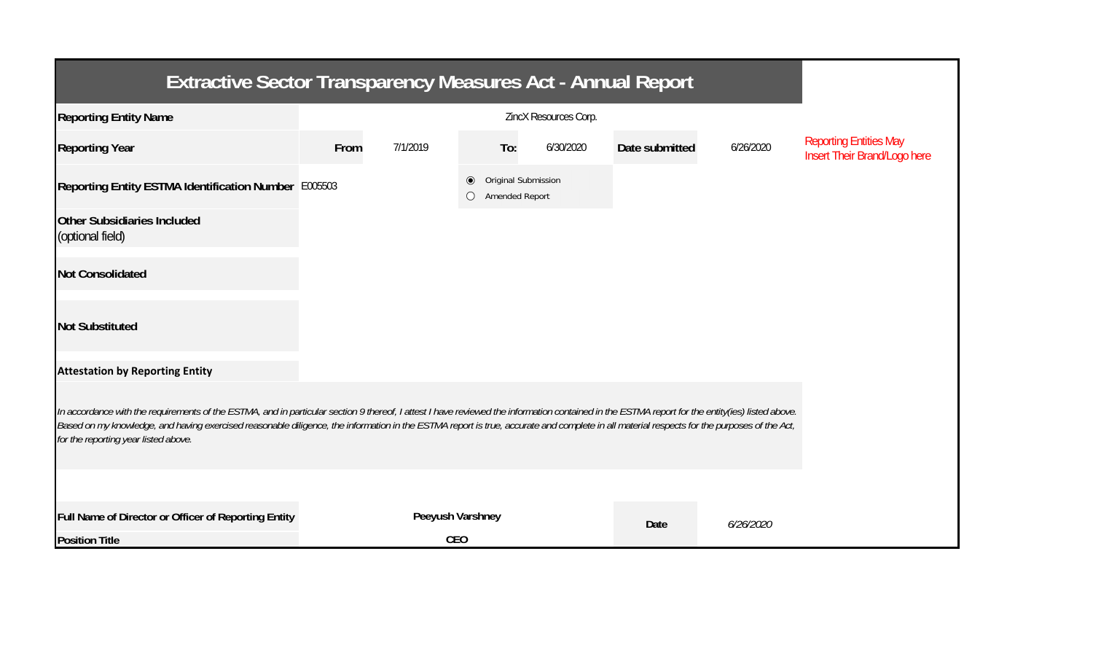| <b>Extractive Sector Transparency Measures Act - Annual Report</b>                                                                                                                                                                                                                                                                                                                                                                    |      |                  |                                                    |           |                |           |                                                               |  |  |  |  |
|---------------------------------------------------------------------------------------------------------------------------------------------------------------------------------------------------------------------------------------------------------------------------------------------------------------------------------------------------------------------------------------------------------------------------------------|------|------------------|----------------------------------------------------|-----------|----------------|-----------|---------------------------------------------------------------|--|--|--|--|
| <b>Reporting Entity Name</b>                                                                                                                                                                                                                                                                                                                                                                                                          |      |                  |                                                    |           |                |           |                                                               |  |  |  |  |
| <b>Reporting Year</b>                                                                                                                                                                                                                                                                                                                                                                                                                 | From | 7/1/2019         | To:                                                | 6/30/2020 | Date submitted | 6/26/2020 | <b>Reporting Entities May</b><br>Insert Their Brand/Logo here |  |  |  |  |
| Reporting Entity ESTMA Identification Number E005503                                                                                                                                                                                                                                                                                                                                                                                  |      |                  | Original Submission<br>$\bullet$<br>Amended Report |           |                |           |                                                               |  |  |  |  |
| <b>Other Subsidiaries Included</b><br>(optional field)                                                                                                                                                                                                                                                                                                                                                                                |      |                  |                                                    |           |                |           |                                                               |  |  |  |  |
| <b>Not Consolidated</b>                                                                                                                                                                                                                                                                                                                                                                                                               |      |                  |                                                    |           |                |           |                                                               |  |  |  |  |
| <b>Not Substituted</b>                                                                                                                                                                                                                                                                                                                                                                                                                |      |                  |                                                    |           |                |           |                                                               |  |  |  |  |
| <b>Attestation by Reporting Entity</b>                                                                                                                                                                                                                                                                                                                                                                                                |      |                  |                                                    |           |                |           |                                                               |  |  |  |  |
| In accordance with the requirements of the ESTMA, and in particular section 9 thereof, I attest I have reviewed the information contained in the ESTMA report for the entity(ies) listed above.<br>Based on my knowledge, and having exercised reasonable diligence, the information in the ESTMA report is true, accurate and complete in all material respects for the purposes of the Act,<br>for the reporting year listed above. |      |                  |                                                    |           |                |           |                                                               |  |  |  |  |
|                                                                                                                                                                                                                                                                                                                                                                                                                                       |      |                  |                                                    |           |                |           |                                                               |  |  |  |  |
| Full Name of Director or Officer of Reporting Entity                                                                                                                                                                                                                                                                                                                                                                                  |      | Peeyush Varshney |                                                    |           | Date           | 6/26/2020 |                                                               |  |  |  |  |
| <b>Position Title</b>                                                                                                                                                                                                                                                                                                                                                                                                                 |      | <b>CEO</b>       |                                                    |           |                |           |                                                               |  |  |  |  |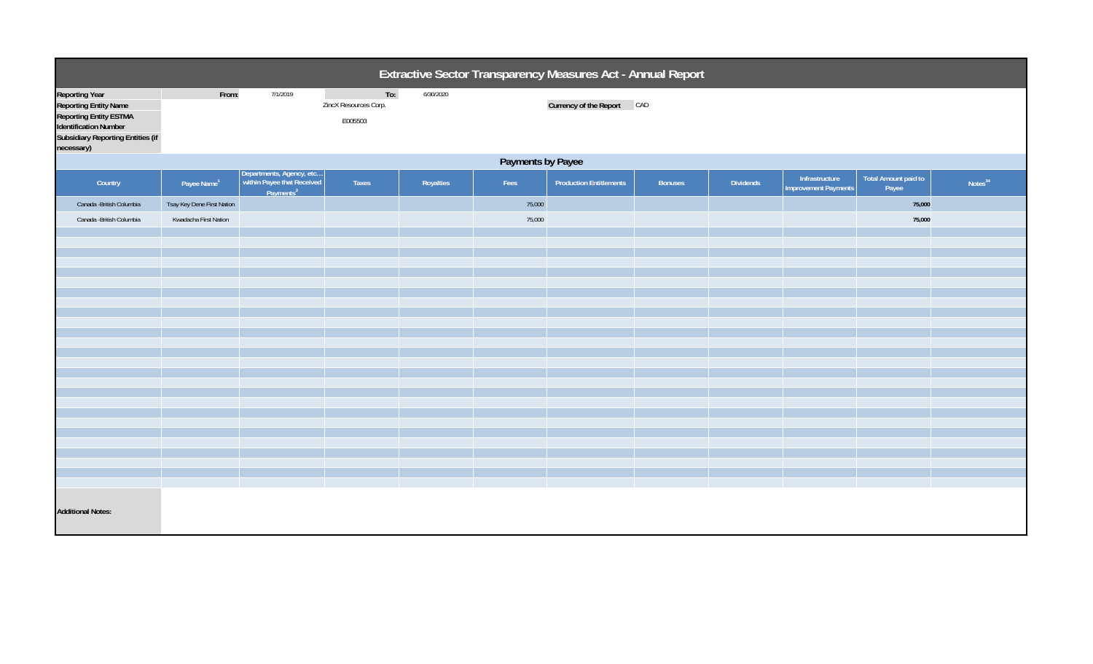| Extractive Sector Transparency Measures Act - Annual Report                                                                                                                      |                            |                                                                                 |                                         |           |        |                                |                |           |                                               |                                      |                     |  |
|----------------------------------------------------------------------------------------------------------------------------------------------------------------------------------|----------------------------|---------------------------------------------------------------------------------|-----------------------------------------|-----------|--------|--------------------------------|----------------|-----------|-----------------------------------------------|--------------------------------------|---------------------|--|
| <b>Reporting Year</b><br><b>Reporting Entity Name</b><br><b>Reporting Entity ESTMA</b><br><b>Identification Number</b><br><b>Subsidiary Reporting Entities (if</b><br>necessary) | From:                      | 7/1/2019                                                                        | To:<br>ZincX Resources Corp.<br>E005503 | 6/30/2020 |        | Currency of the Report CAD     |                |           |                                               |                                      |                     |  |
|                                                                                                                                                                                  | Payments by Payee          |                                                                                 |                                         |           |        |                                |                |           |                                               |                                      |                     |  |
| Country                                                                                                                                                                          | Payee Name <sup>1</sup>    | Departments, Agency, etc<br>within Payee that Received<br>Payments <sup>2</sup> | Taxes                                   | Royalties | Fees   | <b>Production Entitlements</b> | <b>Bonuses</b> | Dividends | Infrastructure<br><b>Improvement Payments</b> | <b>Total Amount paid to</b><br>Payee | Notes <sup>34</sup> |  |
| Canada - British Columbia                                                                                                                                                        | Tsay Key Dene First Nation |                                                                                 |                                         |           | 75,000 |                                |                |           |                                               | 75,000                               |                     |  |
| Canada - British Columbia                                                                                                                                                        | Kwadacha First Nation      |                                                                                 |                                         |           | 75,000 |                                |                |           |                                               | 75,000                               |                     |  |
|                                                                                                                                                                                  |                            |                                                                                 |                                         |           |        |                                |                |           |                                               |                                      |                     |  |
|                                                                                                                                                                                  |                            |                                                                                 |                                         |           |        |                                |                |           |                                               |                                      |                     |  |
|                                                                                                                                                                                  |                            |                                                                                 |                                         |           |        |                                |                |           |                                               |                                      |                     |  |
|                                                                                                                                                                                  |                            |                                                                                 |                                         |           |        |                                |                |           |                                               |                                      |                     |  |
|                                                                                                                                                                                  |                            |                                                                                 |                                         |           |        |                                |                |           |                                               |                                      |                     |  |
|                                                                                                                                                                                  |                            |                                                                                 |                                         |           |        |                                |                |           |                                               |                                      |                     |  |
|                                                                                                                                                                                  |                            |                                                                                 |                                         |           |        |                                |                |           |                                               |                                      |                     |  |
|                                                                                                                                                                                  |                            |                                                                                 |                                         |           |        |                                |                |           |                                               |                                      |                     |  |
|                                                                                                                                                                                  |                            |                                                                                 |                                         |           |        |                                |                |           |                                               |                                      |                     |  |
|                                                                                                                                                                                  |                            |                                                                                 |                                         |           |        |                                |                |           |                                               |                                      |                     |  |
|                                                                                                                                                                                  |                            |                                                                                 |                                         |           |        |                                |                |           |                                               |                                      |                     |  |
|                                                                                                                                                                                  |                            |                                                                                 |                                         |           |        |                                |                |           |                                               |                                      |                     |  |
|                                                                                                                                                                                  |                            |                                                                                 |                                         |           |        |                                |                |           |                                               |                                      |                     |  |
|                                                                                                                                                                                  |                            |                                                                                 |                                         |           |        |                                |                |           |                                               |                                      |                     |  |
|                                                                                                                                                                                  |                            |                                                                                 |                                         |           |        |                                |                |           |                                               |                                      |                     |  |
| <b>Additional Notes:</b>                                                                                                                                                         |                            |                                                                                 |                                         |           |        |                                |                |           |                                               |                                      |                     |  |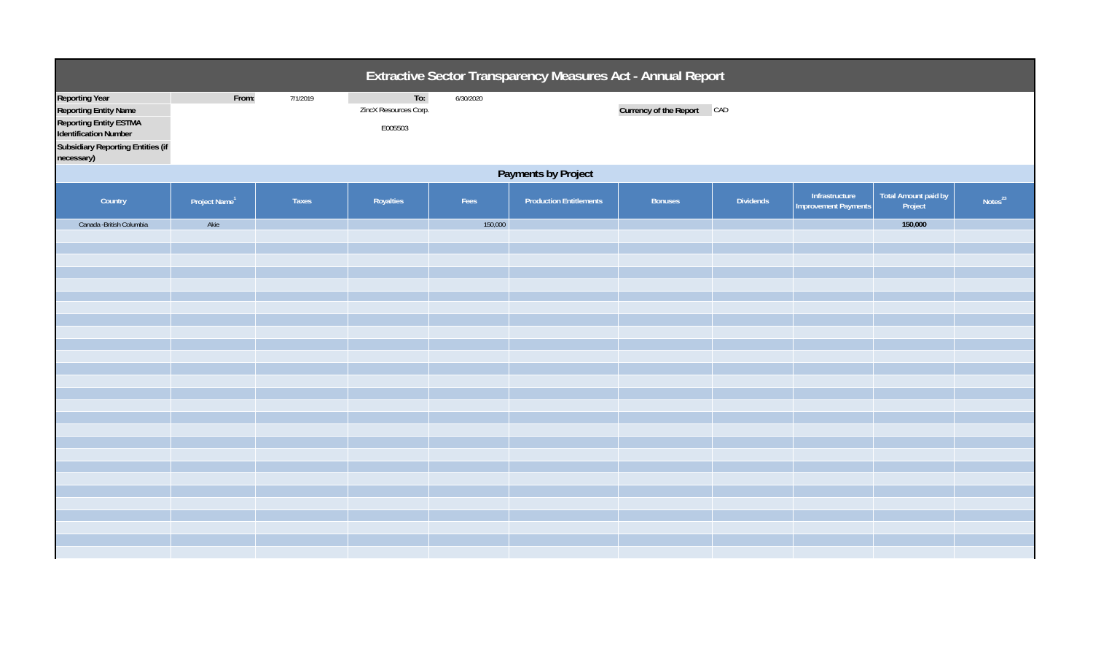| Extractive Sector Transparency Measures Act - Annual Report                                                                                                                      |                           |              |                                         |           |                                |                            |                  |                                               |                                 |                     |  |
|----------------------------------------------------------------------------------------------------------------------------------------------------------------------------------|---------------------------|--------------|-----------------------------------------|-----------|--------------------------------|----------------------------|------------------|-----------------------------------------------|---------------------------------|---------------------|--|
| <b>Reporting Year</b><br><b>Reporting Entity Name</b><br><b>Reporting Entity ESTMA</b><br><b>Identification Number</b><br><b>Subsidiary Reporting Entities (if</b><br>necessary) | From:                     | 7/1/2019     | To:<br>ZincX Resources Corp.<br>E005503 | 6/30/2020 |                                | Currency of the Report CAD |                  |                                               |                                 |                     |  |
|                                                                                                                                                                                  | Payments by Project       |              |                                         |           |                                |                            |                  |                                               |                                 |                     |  |
| Country                                                                                                                                                                          | Project Name <sup>1</sup> | <b>Taxes</b> | Royalties                               | Fees      | <b>Production Entitlements</b> | <b>Bonuses</b>             | <b>Dividends</b> | Infrastructure<br><b>Improvement Payments</b> | Total Amount paid by<br>Project | Notes <sup>23</sup> |  |
| Canada - British Columbia                                                                                                                                                        | Akie                      |              |                                         | 150,000   |                                |                            |                  |                                               | 150,000                         |                     |  |
|                                                                                                                                                                                  |                           |              |                                         |           |                                |                            |                  |                                               |                                 |                     |  |
|                                                                                                                                                                                  |                           |              |                                         |           |                                |                            |                  |                                               |                                 |                     |  |
|                                                                                                                                                                                  |                           |              |                                         |           |                                |                            |                  |                                               |                                 |                     |  |
|                                                                                                                                                                                  |                           |              |                                         |           |                                |                            |                  |                                               |                                 |                     |  |
|                                                                                                                                                                                  |                           |              |                                         |           |                                |                            |                  |                                               |                                 |                     |  |
|                                                                                                                                                                                  |                           |              |                                         |           |                                |                            |                  |                                               |                                 |                     |  |
|                                                                                                                                                                                  |                           |              |                                         |           |                                |                            |                  |                                               |                                 |                     |  |
|                                                                                                                                                                                  |                           |              |                                         |           |                                |                            |                  |                                               |                                 |                     |  |
|                                                                                                                                                                                  |                           |              |                                         |           |                                |                            |                  |                                               |                                 |                     |  |
|                                                                                                                                                                                  |                           |              |                                         |           |                                |                            |                  |                                               |                                 |                     |  |
|                                                                                                                                                                                  |                           |              |                                         |           |                                |                            |                  |                                               |                                 |                     |  |
|                                                                                                                                                                                  |                           |              |                                         |           |                                |                            |                  |                                               |                                 |                     |  |
|                                                                                                                                                                                  |                           |              |                                         |           |                                |                            |                  |                                               |                                 |                     |  |
|                                                                                                                                                                                  |                           |              |                                         |           |                                |                            |                  |                                               |                                 |                     |  |
|                                                                                                                                                                                  |                           |              |                                         |           |                                |                            |                  |                                               |                                 |                     |  |
|                                                                                                                                                                                  |                           |              |                                         |           |                                |                            |                  |                                               |                                 |                     |  |
|                                                                                                                                                                                  |                           |              |                                         |           |                                |                            |                  |                                               |                                 |                     |  |
|                                                                                                                                                                                  |                           |              |                                         |           |                                |                            |                  |                                               |                                 |                     |  |